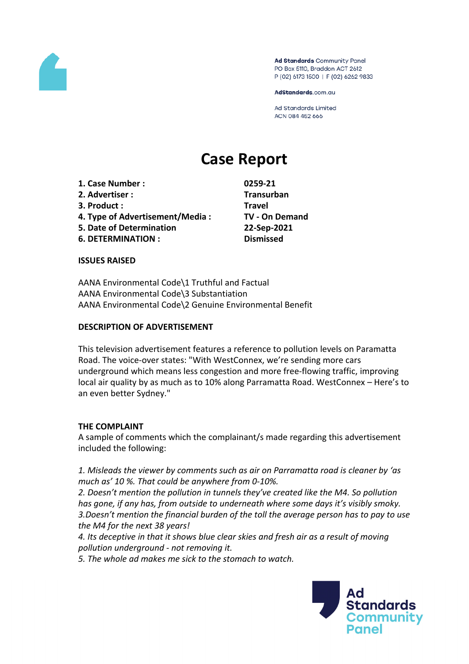

Ad Standards Community Panel PO Box 5110, Braddon ACT 2612 P (02) 6173 1500 | F (02) 6262 9833

AdStandards.com.au

**Ad Standards Limited** ACN 084 452 666

# **Case Report**

**1. Case Number : 0259-21 2. Advertiser : Transurban 3. Product : Travel**

**5. Date of Determination 22-Sep-2021**

**6. DETERMINATION : Dismissed**

**4. Type of Advertisement/Media : TV - On Demand**

**ISSUES RAISED**

AANA Environmental Code\1 Truthful and Factual AANA Environmental Code\3 Substantiation AANA Environmental Code\2 Genuine Environmental Benefit

#### **DESCRIPTION OF ADVERTISEMENT**

This television advertisement features a reference to pollution levels on Paramatta Road. The voice-over states: "With WestConnex, we're sending more cars underground which means less congestion and more free-flowing traffic, improving local air quality by as much as to 10% along Parramatta Road. WestConnex – Here's to an even better Sydney."

## **THE COMPLAINT**

A sample of comments which the complainant/s made regarding this advertisement included the following:

*1. Misleads the viewer by comments such as air on Parramatta road is cleaner by 'as much as' 10 %. That could be anywhere from 0-10%.*

*2. Doesn't mention the pollution in tunnels they've created like the M4. So pollution has gone, if any has, from outside to underneath where some days it's visibly smoky. 3.Doesn't mention the financial burden of the toll the average person has to pay to use the M4 for the next 38 years!*

*4. Its deceptive in that it shows blue clear skies and fresh air as a result of moving pollution underground - not removing it.*

*5. The whole ad makes me sick to the stomach to watch.*

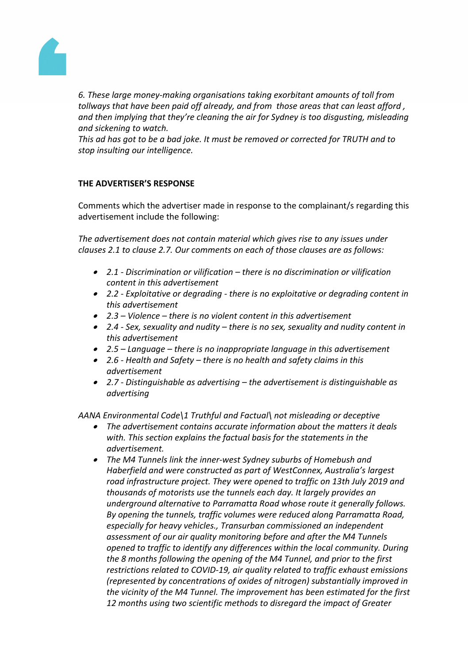

*6. These large money-making organisations taking exorbitant amounts of toll from tollways that have been paid off already, and from those areas that can least afford , and then implying that they're cleaning the air for Sydney is too disgusting, misleading and sickening to watch.*

*This ad has got to be a bad joke. It must be removed or corrected for TRUTH and to stop insulting our intelligence.*

## **THE ADVERTISER'S RESPONSE**

Comments which the advertiser made in response to the complainant/s regarding this advertisement include the following:

*The advertisement does not contain material which gives rise to any issues under clauses 2.1 to clause 2.7. Our comments on each of those clauses are as follows:*

- *2.1 - Discrimination or vilification – there is no discrimination or vilification content in this advertisement*
- *2.2 - Exploitative or degrading - there is no exploitative or degrading content in this advertisement*
- *2.3 – Violence – there is no violent content in this advertisement*
- *2.4 - Sex, sexuality and nudity – there is no sex, sexuality and nudity content in this advertisement*
- *2.5 – Language – there is no inappropriate language in this advertisement*
- *2.6 - Health and Safety – there is no health and safety claims in this advertisement*
- *2.7 - Distinguishable as advertising – the advertisement is distinguishable as advertising*

*AANA Environmental Code\1 Truthful and Factual\ not misleading or deceptive*

- *The advertisement contains accurate information about the matters it deals with. This section explains the factual basis for the statements in the advertisement.*
- *The M4 Tunnels link the inner-west Sydney suburbs of Homebush and Haberfield and were constructed as part of WestConnex, Australia's largest road infrastructure project. They were opened to traffic on 13th July 2019 and thousands of motorists use the tunnels each day. It largely provides an underground alternative to Parramatta Road whose route it generally follows. By opening the tunnels, traffic volumes were reduced along Parramatta Road, especially for heavy vehicles., Transurban commissioned an independent assessment of our air quality monitoring before and after the M4 Tunnels opened to traffic to identify any differences within the local community. During the 8 months following the opening of the M4 Tunnel, and prior to the first restrictions related to COVID-19, air quality related to traffic exhaust emissions (represented by concentrations of oxides of nitrogen) substantially improved in the vicinity of the M4 Tunnel. The improvement has been estimated for the first 12 months using two scientific methods to disregard the impact of Greater*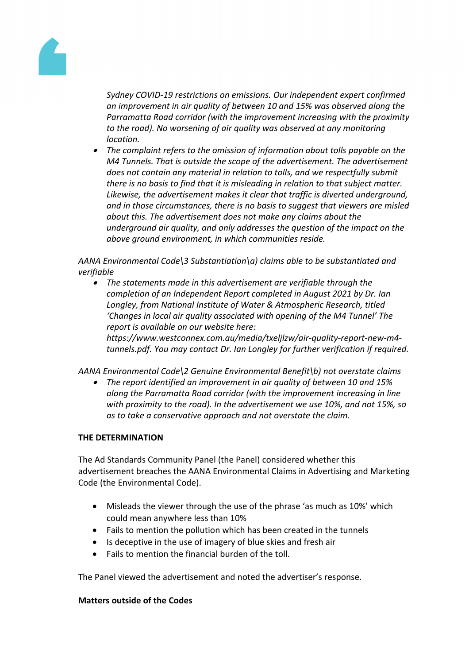

*Sydney COVID-19 restrictions on emissions. Our independent expert confirmed an improvement in air quality of between 10 and 15% was observed along the Parramatta Road corridor (with the improvement increasing with the proximity to the road). No worsening of air quality was observed at any monitoring location.*

 *The complaint refers to the omission of information about tolls payable on the M4 Tunnels. That is outside the scope of the advertisement. The advertisement does not contain any material in relation to tolls, and we respectfully submit there is no basis to find that it is misleading in relation to that subject matter. Likewise, the advertisement makes it clear that traffic is diverted underground, and in those circumstances, there is no basis to suggest that viewers are misled about this. The advertisement does not make any claims about the underground air quality, and only addresses the question of the impact on the above ground environment, in which communities reside.*

*AANA Environmental Code\3 Substantiation\a) claims able to be substantiated and verifiable*

 *The statements made in this advertisement are verifiable through the completion of an Independent Report completed in August 2021 by Dr. Ian Longley, from National Institute of Water & Atmospheric Research, titled 'Changes in local air quality associated with opening of the M4 Tunnel' The report is available on our website here: https://www.westconnex.com.au/media/txeljlzw/air-quality-report-new-m4 tunnels.pdf. You may contact Dr. Ian Longley for further verification if required.*

*AANA Environmental Code\2 Genuine Environmental Benefit\b) not overstate claims*

 *The report identified an improvement in air quality of between 10 and 15% along the Parramatta Road corridor (with the improvement increasing in line with proximity to the road). In the advertisement we use 10%, and not 15%, so as to take a conservative approach and not overstate the claim.*

## **THE DETERMINATION**

The Ad Standards Community Panel (the Panel) considered whether this advertisement breaches the AANA Environmental Claims in Advertising and Marketing Code (the Environmental Code).

- Misleads the viewer through the use of the phrase 'as much as 10%' which could mean anywhere less than 10%
- Fails to mention the pollution which has been created in the tunnels
- Is deceptive in the use of imagery of blue skies and fresh air
- Fails to mention the financial burden of the toll.

The Panel viewed the advertisement and noted the advertiser's response.

## **Matters outside of the Codes**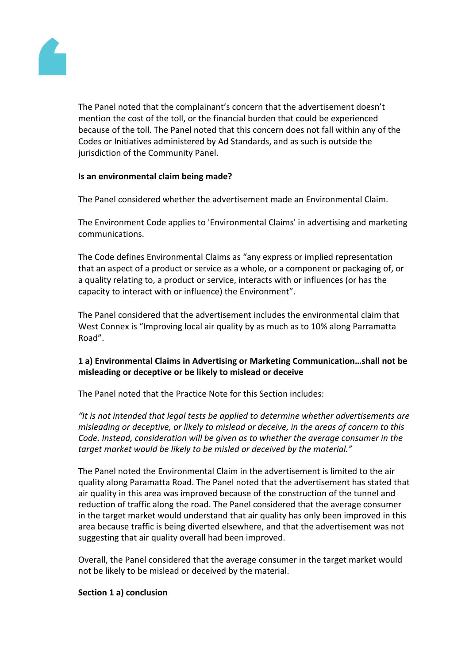

The Panel noted that the complainant's concern that the advertisement doesn't mention the cost of the toll, or the financial burden that could be experienced because of the toll. The Panel noted that this concern does not fall within any of the Codes or Initiatives administered by Ad Standards, and as such is outside the jurisdiction of the Community Panel.

## **Is an environmental claim being made?**

The Panel considered whether the advertisement made an Environmental Claim.

The Environment Code applies to 'Environmental Claims' in advertising and marketing communications.

The Code defines Environmental Claims as "any express or implied representation that an aspect of a product or service as a whole, or a component or packaging of, or a quality relating to, a product or service, interacts with or influences (or has the capacity to interact with or influence) the Environment".

The Panel considered that the advertisement includes the environmental claim that West Connex is "Improving local air quality by as much as to 10% along Parramatta Road".

## **1 a) Environmental Claims in Advertising or Marketing Communication…shall not be misleading or deceptive or be likely to mislead or deceive**

The Panel noted that the Practice Note for this Section includes:

*"It is not intended that legal tests be applied to determine whether advertisements are misleading or deceptive, or likely to mislead or deceive, in the areas of concern to this Code. Instead, consideration will be given as to whether the average consumer in the target market would be likely to be misled or deceived by the material."*

The Panel noted the Environmental Claim in the advertisement is limited to the air quality along Paramatta Road. The Panel noted that the advertisement has stated that air quality in this area was improved because of the construction of the tunnel and reduction of traffic along the road. The Panel considered that the average consumer in the target market would understand that air quality has only been improved in this area because traffic is being diverted elsewhere, and that the advertisement was not suggesting that air quality overall had been improved.

Overall, the Panel considered that the average consumer in the target market would not be likely to be mislead or deceived by the material.

## **Section 1 a) conclusion**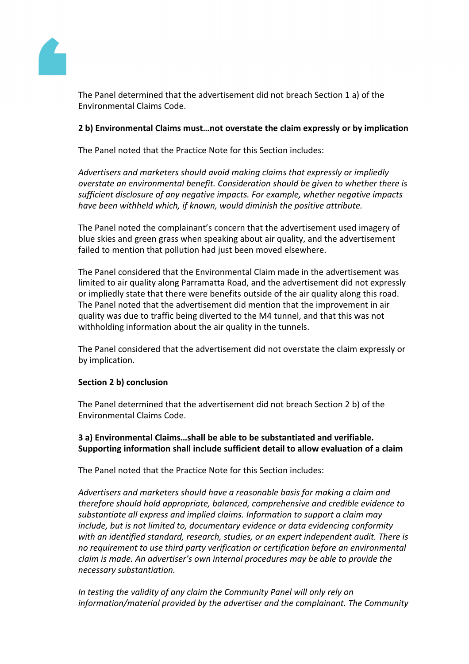

The Panel determined that the advertisement did not breach Section 1 a) of the Environmental Claims Code.

## **2 b) Environmental Claims must…not overstate the claim expressly or by implication**

The Panel noted that the Practice Note for this Section includes:

*Advertisers and marketers should avoid making claims that expressly or impliedly overstate an environmental benefit. Consideration should be given to whether there is sufficient disclosure of any negative impacts. For example, whether negative impacts have been withheld which, if known, would diminish the positive attribute.*

The Panel noted the complainant's concern that the advertisement used imagery of blue skies and green grass when speaking about air quality, and the advertisement failed to mention that pollution had just been moved elsewhere.

The Panel considered that the Environmental Claim made in the advertisement was limited to air quality along Parramatta Road, and the advertisement did not expressly or impliedly state that there were benefits outside of the air quality along this road. The Panel noted that the advertisement did mention that the improvement in air quality was due to traffic being diverted to the M4 tunnel, and that this was not withholding information about the air quality in the tunnels.

The Panel considered that the advertisement did not overstate the claim expressly or by implication.

## **Section 2 b) conclusion**

The Panel determined that the advertisement did not breach Section 2 b) of the Environmental Claims Code.

## **3 a) Environmental Claims…shall be able to be substantiated and verifiable. Supporting information shall include sufficient detail to allow evaluation of a claim**

The Panel noted that the Practice Note for this Section includes:

*Advertisers and marketers should have a reasonable basis for making a claim and therefore should hold appropriate, balanced, comprehensive and credible evidence to substantiate all express and implied claims. Information to support a claim may include, but is not limited to, documentary evidence or data evidencing conformity with an identified standard, research, studies, or an expert independent audit. There is no requirement to use third party verification or certification before an environmental claim is made. An advertiser's own internal procedures may be able to provide the necessary substantiation.*

*In testing the validity of any claim the Community Panel will only rely on information/material provided by the advertiser and the complainant. The Community*